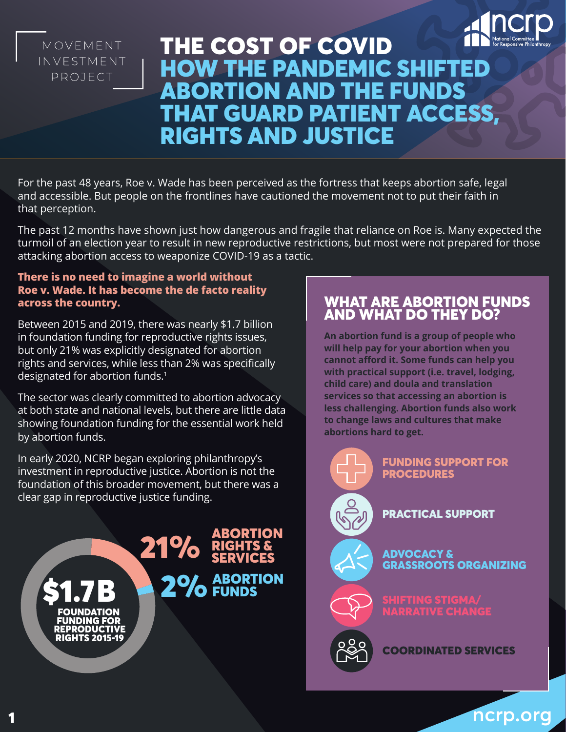

# MOVEMENT INVESTMENT PROJECT

# THE COST OF COVID HOW THE PANDEMIC SHIFTED ABORTION AND THE FUNDS THAT GUARD PATIENT ACCESS, RIGHTS AND JUSTICE

For the past 48 years, Roe v. Wade has been perceived as the fortress that keeps abortion safe, legal and accessible. But people on the frontlines have cautioned the movement not to put their faith in that perception.

The past 12 months have shown just how dangerous and fragile that reliance on Roe is. Many expected the turmoil of an election year to result in new reproductive restrictions, but most were not prepared for those attacking abortion access to weaponize COVID-19 as a tactic.

#### **There is no need to imagine a world without Roe v. Wade. It has become the de facto reality across the country.**

Between 2015 and 2019, there was nearly \$1.7 billion in foundation funding for reproductive rights issues, but only 21% was explicitly designated for abortion rights and services, while less than 2% was specifically designated for abortion funds.<sup>1</sup>

The sector was clearly committed to abortion advocacy at both state and national levels, but there are little data showing foundation funding for the essential work held by abortion funds.

In early 2020, NCRP began exploring philanthropy's investment in reproductive justice. Abortion is not the foundation of this broader movement, but there was a clear gap in reproductive justice funding.



# WHAT ARE ABORTION FUNDS AND WHAT DO THEY DO?

**An abortion fund is a group of people who will help pay for your abortion when you cannot afford it. Some funds can help you with practical support (i.e. travel, lodging, child care) and doula and translation services so that accessing an abortion is less challenging. Abortion funds also work to change laws and cultures that make abortions hard to get.**



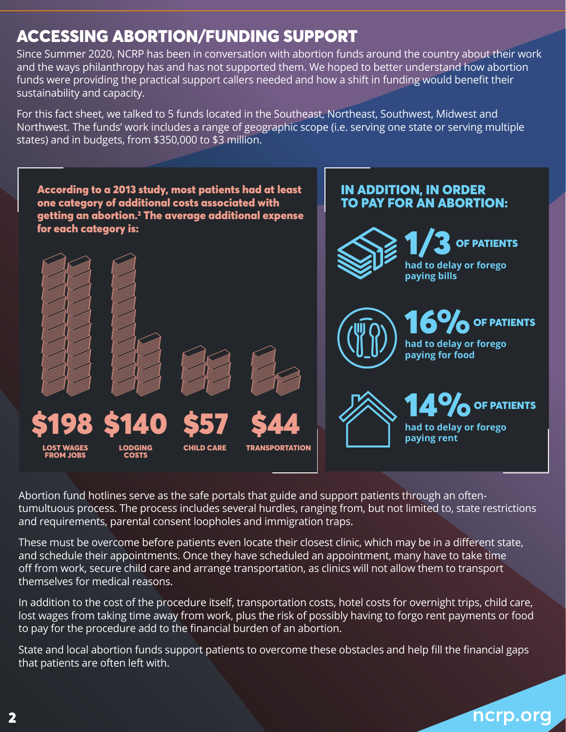# ACCESSING ABORTION/FUNDING SUPPORT

Since Summer 2020, NCRP has been in conversation with abortion funds around the country about their work and the ways philanthropy has and has not supported them. We hoped to better understand how abortion funds were providing the practical support callers needed and how a shift in funding would benefit their sustainability and capacity.

For this fact sheet, we talked to 5 funds located in the Southeast, Northeast, Southwest, Midwest and Northwest. The funds' work includes a range of geographic scope (i.e. serving one state or serving multiple states) and in budgets, from \$350,000 to \$3 million.



Abortion fund hotlines serve as the safe portals that guide and support patients through an oftentumultuous process. The process includes several hurdles, ranging from, but not limited to, state restrictions and requirements, parental consent loopholes and immigration traps.

These must be overcome before patients even locate their closest clinic, which may be in a different state, and schedule their appointments. Once they have scheduled an appointment, many have to take time off from work, secure child care and arrange transportation, as clinics will not allow them to transport themselves for medical reasons.

In addition to the cost of the procedure itself, transportation costs, hotel costs for overnight trips, child care, lost wages from taking time away from work, plus the risk of possibly having to forgo rent payments or food to pay for the procedure add to the financial burden of an abortion.

State and local abortion funds support patients to overcome these obstacles and help fill the financial gaps that patients are often left with.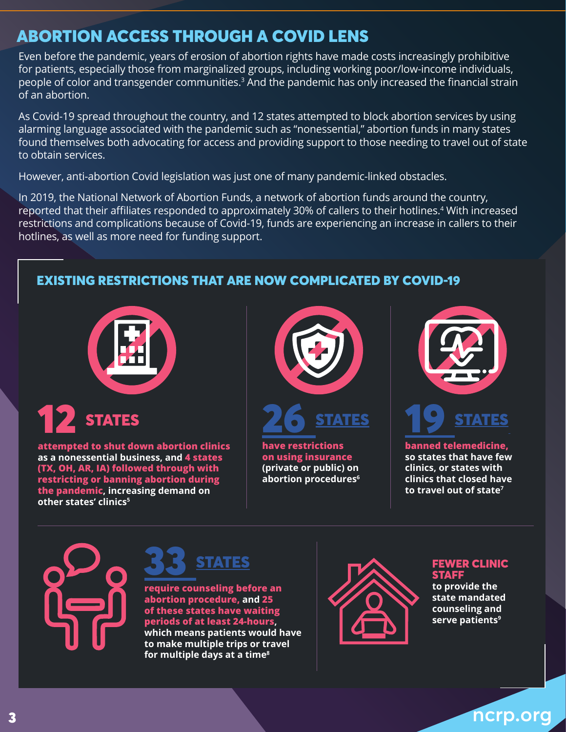# ABORTION ACCESS THROUGH A COVID LENS

Even before the pandemic, years of erosion of abortion rights have made costs increasingly prohibitive for patients, especially those from marginalized groups, including working poor/low-income individuals, people of color and transgender communities.<sup>3</sup> And the pandemic has only increased the financial strain of an abortion.

As Covid-19 spread throughout the country, and 12 states attempted to block abortion services by using alarming language associated with the pandemic such as "nonessential," abortion funds in many states found themselves both advocating for access and providing support to those needing to travel out of state to obtain services.

However, anti-abortion Covid legislation was just one of many pandemic-linked obstacles.

In 2019, the National Network of Abortion Funds, a network of abortion funds around the country, reported that their affiliates responded to approximately 30% of callers to their hotlines.<sup>4</sup> With increased restrictions and complications because of Covid-19, funds are experiencing an increase in callers to their hotlines, as well as more need for funding support.

# EXISTING RESTRICTIONS THAT ARE NOW COMPLICATED BY COVID-19



12 STATES **attempted to shut down abortion clinics as a nonessential business, and 4 states** 

**(TX, OH, AR, IA) followed through with restricting or banning abortion during the pandemic, increasing demand on**  other states' clinics<sup>5</sup>



26 STATES

**have restrictions on using insurance (private or public) on abortion procedures6**





**banned telemedicine, so states that have few clinics, or states with clinics that closed have to travel out of state<sup>7</sup>**



**STATES** 

**require counseling before an abortion procedure, and 25 of these states have waiting periods of at least 24-hours, which means patients would have to make multiple trips or travel for multiple days at a time<sup>8</sup>**



#### FEWER CLINIC **STAFF**

**to provide the state mandated counseling and serve patients<sup>9</sup>**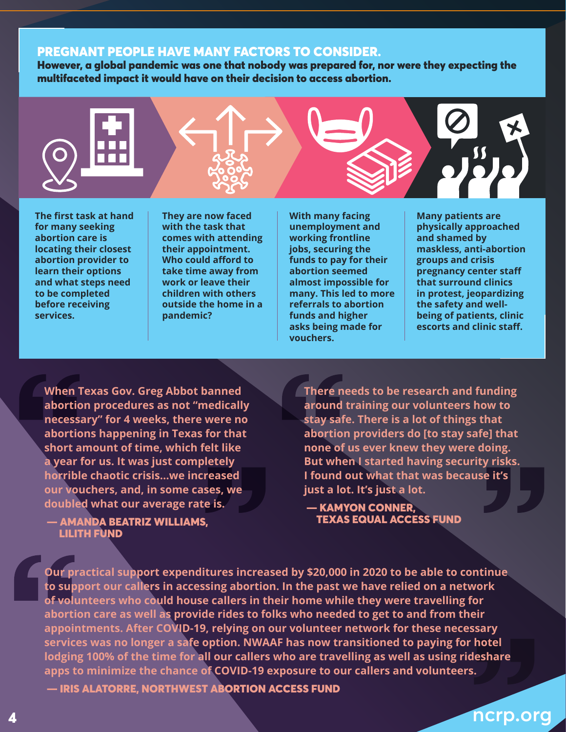#### PREGNANT PEOPLE HAVE MANY FACTORS TO CONSIDER.

However, a global pandemic was one that nobody was prepared for, nor were they expecting the multifaceted impact it would have on their decision to access abortion.



**The first task at hand for many seeking abortion care is locating their closest abortion provider to learn their options and what steps need to be completed before receiving services.**

**They are now faced with the task that comes with attending their appointment. Who could afford to take time away from work or leave their children with others outside the home in a pandemic?** 

**With many facing unemployment and working frontline jobs, securing the funds to pay for their abortion seemed almost impossible for many. This led to more referrals to abortion funds and higher asks being made for vouchers.**

**Many patients are physically approached and shamed by maskless, anti-abortion groups and crisis pregnancy center staff that surround clinics in protest, jeopardizing the safety and wellbeing of patients, clinic escorts and clinic staff.** 

**When Texas Gov. Greg Abbot banned abortion procedures as not "medically necessary" for 4 weeks, there were no abortions happening in Texas for that short amount of time, which felt like a year for us. It was just completely horrible chaotic crisis…we increased our vouchers, and, in some cases, we doubled what our average rate is.**

 — AMANDA BEATRIZ WILLIAMS, LILITH FUND

**There needs to be research and funding around training our volunteers how to stay safe. There is a lot of things that abortion providers do [to stay safe] that none of us ever knew they were doing. But when I started having security risks. I found out what that was because it's just a lot. It's just a lot.**

 — KAMYON CONNER, TEXAS EQUAL ACCESS FUND

**Our practical support expenditures increased by \$20,000 in 2020 to be able to continue to support our callers in accessing abortion. In the past we have relied on a network of volunteers who could house callers in their home while they were travelling for abortion care as well as provide rides to folks who needed to get to and from their appointments. After COVID-19, relying on our volunteer network for these necessary services was no longer a safe option. NWAAF has now transitioned to paying for hotel lodging 100% of the time for all our callers who are travelling as well as using rideshare apps to minimize the chance of COVID-19 exposure to our callers and volunteers.**

— IRIS ALATORRE, NORTHWEST ABORTION ACCESS FUND